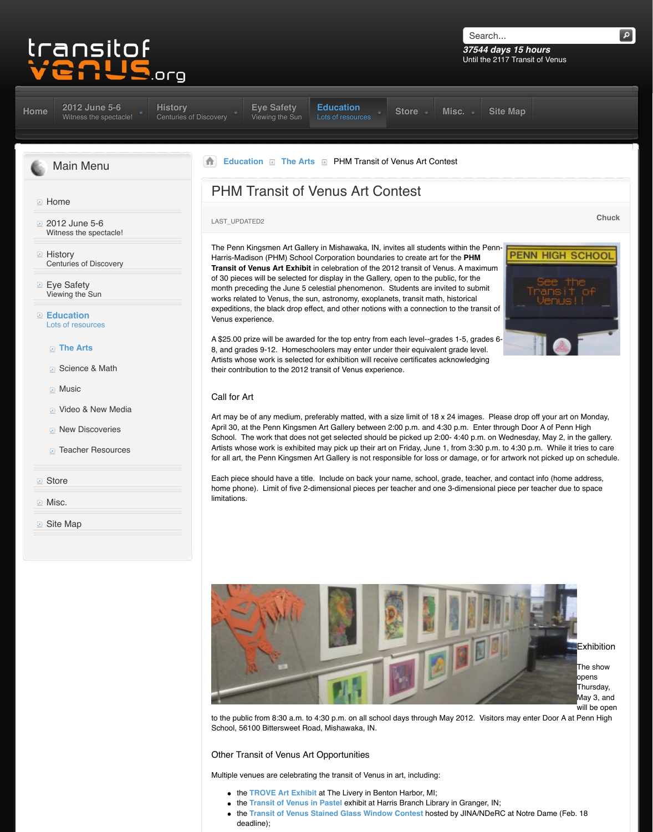- **The Arts**
- Science & Math
- **Music**
- **D** Video & New Media
- **New Discoveries**
- **[Teacher Resources](http://www.transitofvenus.org/june2012)**
- **Store**
- **Misc.**

**D** [Site Map](http://www.transitofvenus.org/)

A \$25.00 prize will be awarded for the top entry from 8, and grades 9-12. Homeschoolers may enter under Artists whose work is selected for exhibition will recei their contribution to the 2012 transit of Venus experie

## Call for Art

Art may be of any medium, preferably matted, with a April 30, at the Penn Kingsmen Art Gallery between : [School. T](http://www.transitofvenus.org/history)[he work that does](http://www.transitofvenus.org/june2012/eye-safety) not get selected should Artists whose work is exhibited may pick up their art on for all art, the Penn Kingsmen Art Gallery is not responsible for all art, the Penn Kingsmen Art Gallery is not respo

Each piece should have a title. Include on back your [h](http://www.transitofvenus.org/)[ome phone\). Lim](http://www.transitofvenus.org/education)[it of five 2-dim](http://www.transitofvenus.org/education/the-arts)ensional pieces per limitations.



to the public from 8:30 a.m. to  $4:30$  p.m. on all school School, 56100 Bittersweet Road, Mishawaka, IN.

## Other Transit of Venus Art Opportunities

Multiple venues are celebrating the transit of Venus in

- **the TROVE Art Exhibit at The Livery in Benton**
- **the Transit of Venus in Pastel exhibit at Har**
- **the Transit of Venus Stained Glass Window** deadline);